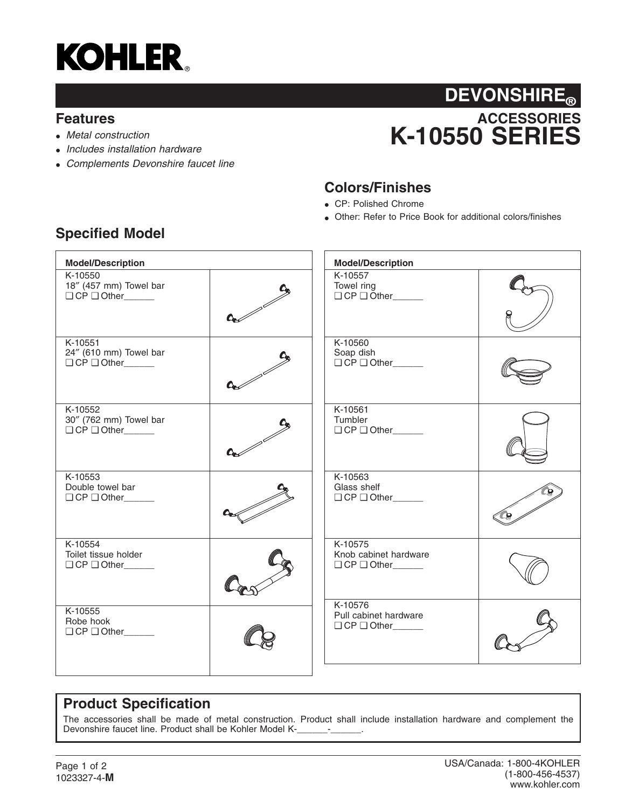

#### **Features**

- *Metal construction*
- *Includes installation hardware*
- *Complements Devonshire faucet line*

## **ACCESSORIES K-10550 SERIES DEVONSHIRE®**

### **Colors/Finishes**

- CP: Polished Chrome
- Other: Refer to Price Book for additional colors/finishes

| <b>Model/Description</b>                                    |  | <b>Model/Description</b>                                  |  |
|-------------------------------------------------------------|--|-----------------------------------------------------------|--|
| K-10550<br>18" (457 mm) Towel bar<br>O CP O Other           |  | K-10557<br>Towel ring<br>$\Box$ CP $\Box$ Other           |  |
| K-10551<br>24" (610 mm) Towel bar<br>$\Box$ CP $\Box$ Other |  | K-10560<br>Soap dish<br>O CP O Other                      |  |
| K-10552<br>30" (762 mm) Towel bar<br>O CP O Other           |  | K-10561<br>Tumbler<br>$\Box$ CP $\Box$ Other              |  |
| K-10553<br>Double towel bar<br>O CP O Other                 |  | K-10563<br>Glass shelf<br>$\Box$ CP $\Box$ Other ________ |  |
| K-10554<br>Toilet tissue holder<br>$\Box$ CP $\Box$ Other   |  | K-10575<br>Knob cabinet hardware<br>O CP O Other          |  |
| K-10555<br>Robe hook<br>O CP O Other                        |  | K-10576<br>Pull cabinet hardware<br>O CP O Other          |  |

## **Specified Model**

## **Product Specification**

The accessories shall be made of metal construction. Product shall include installation hardware and complement the Devonshire faucet line. Product shall be Kohler Model K-\_\_\_\_\_\_\_-\_\_